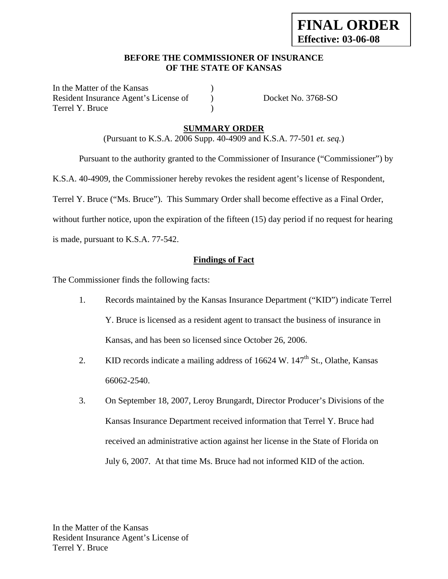### **BEFORE THE COMMISSIONER OF INSURANCE OF THE STATE OF KANSAS**

In the Matter of the Kansas Resident Insurance Agent's License of (a) Docket No. 3768-SO Terrel Y. Bruce (1)

# **SUMMARY ORDER**

(Pursuant to K.S.A. 2006 Supp. 40-4909 and K.S.A. 77-501 *et. seq.*)

 Pursuant to the authority granted to the Commissioner of Insurance ("Commissioner") by K.S.A. 40-4909, the Commissioner hereby revokes the resident agent's license of Respondent, Terrel Y. Bruce ("Ms. Bruce"). This Summary Order shall become effective as a Final Order, without further notice, upon the expiration of the fifteen (15) day period if no request for hearing is made, pursuant to K.S.A. 77-542.

#### **Findings of Fact**

The Commissioner finds the following facts:

- 1. Records maintained by the Kansas Insurance Department ("KID") indicate Terrel Y. Bruce is licensed as a resident agent to transact the business of insurance in Kansas, and has been so licensed since October 26, 2006.
- 2. KID records indicate a mailing address of  $16624 \text{ W}$ .  $147^{\text{th}}$  St., Olathe, Kansas 66062-2540.
- 3. On September 18, 2007, Leroy Brungardt, Director Producer's Divisions of the Kansas Insurance Department received information that Terrel Y. Bruce had received an administrative action against her license in the State of Florida on July 6, 2007. At that time Ms. Bruce had not informed KID of the action.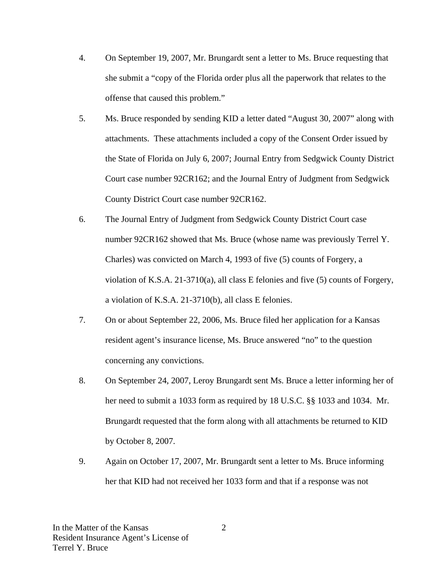- 4. On September 19, 2007, Mr. Brungardt sent a letter to Ms. Bruce requesting that she submit a "copy of the Florida order plus all the paperwork that relates to the offense that caused this problem."
- 5. Ms. Bruce responded by sending KID a letter dated "August 30, 2007" along with attachments. These attachments included a copy of the Consent Order issued by the State of Florida on July 6, 2007; Journal Entry from Sedgwick County District Court case number 92CR162; and the Journal Entry of Judgment from Sedgwick County District Court case number 92CR162.
- 6. The Journal Entry of Judgment from Sedgwick County District Court case number 92CR162 showed that Ms. Bruce (whose name was previously Terrel Y. Charles) was convicted on March 4, 1993 of five (5) counts of Forgery, a violation of K.S.A. 21-3710(a), all class E felonies and five (5) counts of Forgery, a violation of K.S.A. 21-3710(b), all class E felonies.
- 7. On or about September 22, 2006, Ms. Bruce filed her application for a Kansas resident agent's insurance license, Ms. Bruce answered "no" to the question concerning any convictions.
- 8. On September 24, 2007, Leroy Brungardt sent Ms. Bruce a letter informing her of her need to submit a 1033 form as required by 18 U.S.C. §§ 1033 and 1034. Mr. Brungardt requested that the form along with all attachments be returned to KID by October 8, 2007.
- 9. Again on October 17, 2007, Mr. Brungardt sent a letter to Ms. Bruce informing her that KID had not received her 1033 form and that if a response was not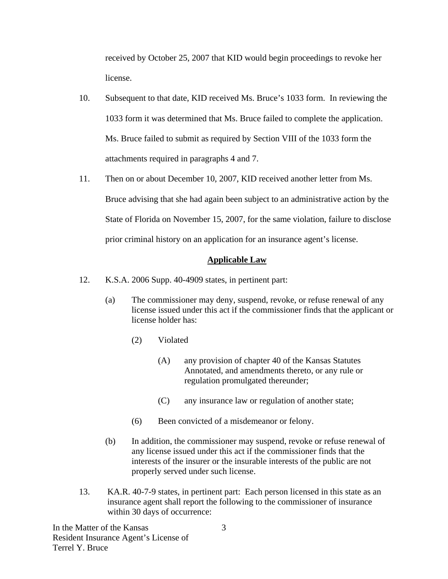received by October 25, 2007 that KID would begin proceedings to revoke her license.

- 10. Subsequent to that date, KID received Ms. Bruce's 1033 form. In reviewing the 1033 form it was determined that Ms. Bruce failed to complete the application. Ms. Bruce failed to submit as required by Section VIII of the 1033 form the attachments required in paragraphs 4 and 7.
- 11. Then on or about December 10, 2007, KID received another letter from Ms. Bruce advising that she had again been subject to an administrative action by the State of Florida on November 15, 2007, for the same violation, failure to disclose prior criminal history on an application for an insurance agent's license.

# **Applicable Law**

- 12. K.S.A. 2006 Supp. 40-4909 states, in pertinent part:
	- (a) The commissioner may deny, suspend, revoke, or refuse renewal of any license issued under this act if the commissioner finds that the applicant or license holder has:
		- (2) Violated
			- (A) any provision of chapter 40 of the Kansas Statutes Annotated, and amendments thereto, or any rule or regulation promulgated thereunder;
			- (C) any insurance law or regulation of another state;
		- (6) Been convicted of a misdemeanor or felony.
	- (b) In addition, the commissioner may suspend, revoke or refuse renewal of any license issued under this act if the commissioner finds that the interests of the insurer or the insurable interests of the public are not properly served under such license.
- 13. KA.R. 40-7-9 states, in pertinent part: Each person licensed in this state as an insurance agent shall report the following to the commissioner of insurance within 30 days of occurrence: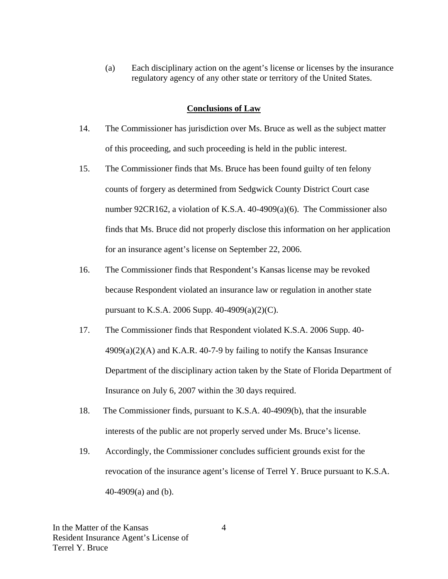(a) Each disciplinary action on the agent's license or licenses by the insurance regulatory agency of any other state or territory of the United States.

#### **Conclusions of Law**

- 14. The Commissioner has jurisdiction over Ms. Bruce as well as the subject matter of this proceeding, and such proceeding is held in the public interest.
- 15. The Commissioner finds that Ms. Bruce has been found guilty of ten felony counts of forgery as determined from Sedgwick County District Court case number 92CR162, a violation of K.S.A. 40-4909(a)(6). The Commissioner also finds that Ms. Bruce did not properly disclose this information on her application for an insurance agent's license on September 22, 2006.
- 16. The Commissioner finds that Respondent's Kansas license may be revoked because Respondent violated an insurance law or regulation in another state pursuant to K.S.A. 2006 Supp. 40-4909(a)(2)(C).
- 17. The Commissioner finds that Respondent violated K.S.A. 2006 Supp. 40-  $4909(a)(2)$ (A) and K.A.R. 40-7-9 by failing to notify the Kansas Insurance Department of the disciplinary action taken by the State of Florida Department of Insurance on July 6, 2007 within the 30 days required.
- 18. The Commissioner finds, pursuant to K.S.A. 40-4909(b), that the insurable interests of the public are not properly served under Ms. Bruce's license.
- 19. Accordingly, the Commissioner concludes sufficient grounds exist for the revocation of the insurance agent's license of Terrel Y. Bruce pursuant to K.S.A. 40-4909(a) and (b).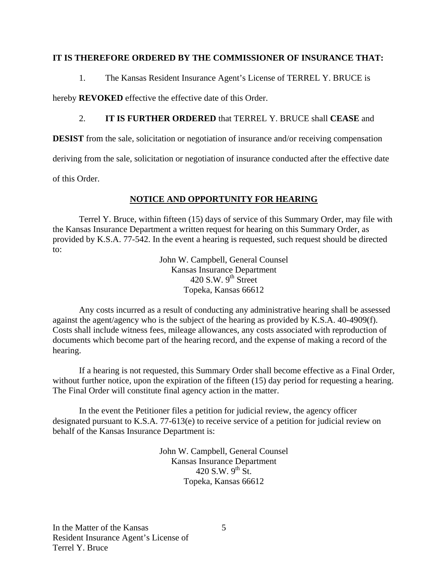### **IT IS THEREFORE ORDERED BY THE COMMISSIONER OF INSURANCE THAT:**

1. The Kansas Resident Insurance Agent's License of TERREL Y. BRUCE is

hereby **REVOKED** effective the effective date of this Order.

# 2. **IT IS FURTHER ORDERED** that TERREL Y. BRUCE shall **CEASE** and

**DESIST** from the sale, solicitation or negotiation of insurance and/or receiving compensation

deriving from the sale, solicitation or negotiation of insurance conducted after the effective date

of this Order.

# **NOTICE AND OPPORTUNITY FOR HEARING**

Terrel Y. Bruce, within fifteen (15) days of service of this Summary Order, may file with the Kansas Insurance Department a written request for hearing on this Summary Order, as provided by K.S.A. 77-542. In the event a hearing is requested, such request should be directed to:

> John W. Campbell, General Counsel Kansas Insurance Department 420 S.W.  $9<sup>th</sup>$  Street Topeka, Kansas 66612

Any costs incurred as a result of conducting any administrative hearing shall be assessed against the agent/agency who is the subject of the hearing as provided by K.S.A. 40-4909(f). Costs shall include witness fees, mileage allowances, any costs associated with reproduction of documents which become part of the hearing record, and the expense of making a record of the hearing.

If a hearing is not requested, this Summary Order shall become effective as a Final Order, without further notice, upon the expiration of the fifteen (15) day period for requesting a hearing. The Final Order will constitute final agency action in the matter.

In the event the Petitioner files a petition for judicial review, the agency officer designated pursuant to K.S.A. 77-613(e) to receive service of a petition for judicial review on behalf of the Kansas Insurance Department is:

> John W. Campbell, General Counsel Kansas Insurance Department 420 S.W.  $9^{th}$  St. Topeka, Kansas 66612

5